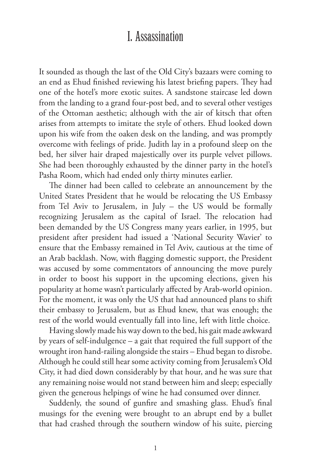## I. Assassination

It sounded as though the last of the Old City's bazaars were coming to an end as Ehud finished reviewing his latest briefing papers. They had one of the hotel's more exotic suites. A sandstone staircase led down from the landing to a grand four-post bed, and to several other vestiges of the Ottoman aesthetic; although with the air of kitsch that often arises from attempts to imitate the style of others. Ehud looked down upon his wife from the oaken desk on the landing, and was promptly overcome with feelings of pride. Judith lay in a profound sleep on the bed, her silver hair draped majestically over its purple velvet pillows. She had been thoroughly exhausted by the dinner party in the hotel's Pasha Room, which had ended only thirty minutes earlier.

The dinner had been called to celebrate an announcement by the United States President that he would be relocating the US Embassy from Tel Aviv to Jerusalem, in July – the US would be formally recognizing Jerusalem as the capital of Israel. The relocation had been demanded by the US Congress many years earlier, in 1995, but president after president had issued a 'National Security Wavier' to ensure that the Embassy remained in Tel Aviv, cautious at the time of an Arab backlash. Now, with flagging domestic support, the President was accused by some commentators of announcing the move purely in order to boost his support in the upcoming elections, given his popularity at home wasn't particularly affected by Arab-world opinion. For the moment, it was only the US that had announced plans to shift their embassy to Jerusalem, but as Ehud knew, that was enough; the rest of the world would eventually fall into line, left with little choice.

Having slowly made his way down to the bed, his gait made awkward by years of self-indulgence – a gait that required the full support of the wrought iron hand-railing alongside the stairs – Ehud began to disrobe. Although he could still hear some activity coming from Jerusalem's Old City, it had died down considerably by that hour, and he was sure that any remaining noise would not stand between him and sleep; especially given the generous helpings of wine he had consumed over dinner.

Suddenly, the sound of gunfire and smashing glass. Ehud's final musings for the evening were brought to an abrupt end by a bullet that had crashed through the southern window of his suite, piercing